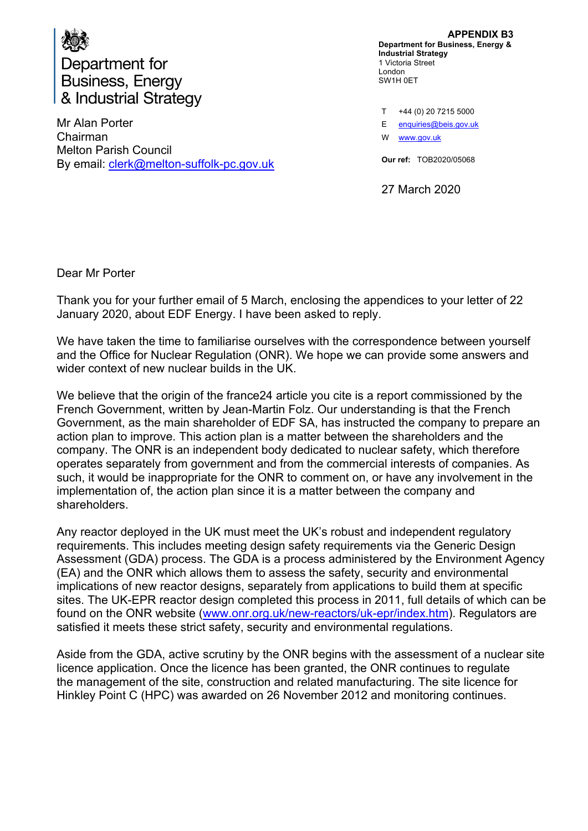

Mr Alan Porter Chairman Melton Parish Council By email: clerk@melton-suffolk-pc.gov.uk

**APPENDIX B3 Department for Business, Energy & Industrial Strategy** 1 Victoria Street London SW1H 0ET

T E W www.gov.uk +44 (0) 20 7215 5000 enquiries@beis.gov.uk

**Our ref:** TOB2020/05068

27 March 2020

Dear Mr Porter

Thank you for your further email of 5 March, enclosing the appendices to your letter of 22 January 2020, about EDF Energy. I have been asked to reply.

We have taken the time to familiarise ourselves with the correspondence between yourself and the Office for Nuclear Regulation (ONR). We hope we can provide some answers and wider context of new nuclear builds in the UK.

We believe that the origin of the france24 article you cite is a report commissioned by the French Government, written by Jean-Martin Folz. Our understanding is that the French Government, as the main shareholder of EDF SA, has instructed the company to prepare an action plan to improve. This action plan is a matter between the shareholders and the company. The ONR is an independent body dedicated to nuclear safety, which therefore operates separately from government and from the commercial interests of companies. As such, it would be inappropriate for the ONR to comment on, or have any involvement in the implementation of, the action plan since it is a matter between the company and shareholders.

Any reactor deployed in the UK must meet the UK's robust and independent regulatory requirements. This includes meeting design safety requirements via the Generic Design Assessment (GDA) process. The GDA is a process administered by the Environment Agency (EA) and the ONR which allows them to assess the safety, security and environmental implications of new reactor designs, separately from applications to build them at specific sites. The UK-EPR reactor design completed this process in 2011, full details of which can be found on the ONR website (www.onr.org.uk/new-reactors/uk-epr/index.htm). Regulators are satisfied it meets these strict safety, security and environmental regulations.

Aside from the GDA, active scrutiny by the ONR begins with the assessment of a nuclear site licence application. Once the licence has been granted, the ONR continues to regulate the management of the site, construction and related manufacturing. The site licence for Hinkley Point C (HPC) was awarded on 26 November 2012 and monitoring continues.